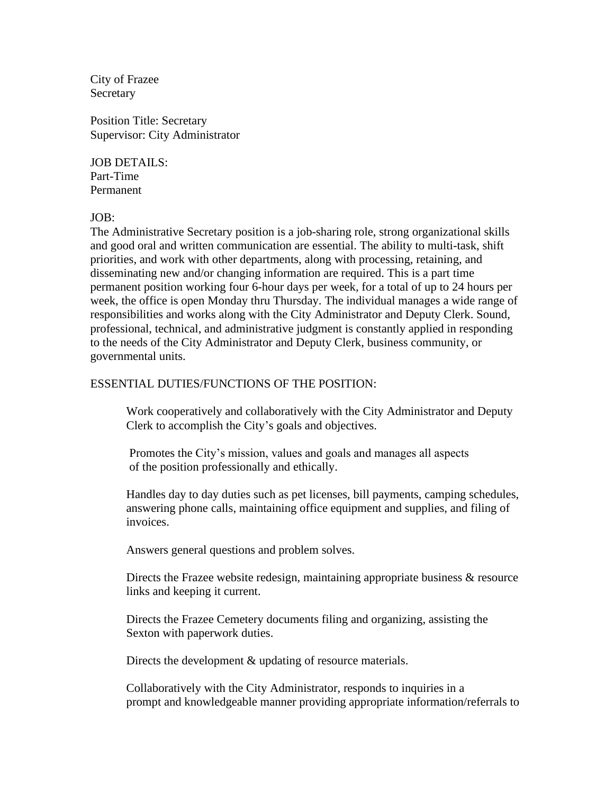City of Frazee **Secretary** 

Position Title: Secretary Supervisor: City Administrator

JOB DETAILS: Part-Time Permanent

 $IOB^+$ 

The Administrative Secretary position is a job-sharing role, strong organizational skills and good oral and written communication are essential. The ability to multi-task, shift priorities, and work with other departments, along with processing, retaining, and disseminating new and/or changing information are required. This is a part time permanent position working four 6-hour days per week, for a total of up to 24 hours per week, the office is open Monday thru Thursday. The individual manages a wide range of responsibilities and works along with the City Administrator and Deputy Clerk. Sound, professional, technical, and administrative judgment is constantly applied in responding to the needs of the City Administrator and Deputy Clerk, business community, or governmental units.

## ESSENTIAL DUTIES/FUNCTIONS OF THE POSITION:

 Work cooperatively and collaboratively with the City Administrator and Deputy Clerk to accomplish the City's goals and objectives.

Promotes the City's mission, values and goals and manages all aspects of the position professionally and ethically.

Handles day to day duties such as pet licenses, bill payments, camping schedules, answering phone calls, maintaining office equipment and supplies, and filing of invoices.

Answers general questions and problem solves.

 Directs the Frazee website redesign, maintaining appropriate business & resource links and keeping it current.

 Directs the Frazee Cemetery documents filing and organizing, assisting the Sexton with paperwork duties.

Directs the development  $\&$  updating of resource materials.

Collaboratively with the City Administrator, responds to inquiries in a prompt and knowledgeable manner providing appropriate information/referrals to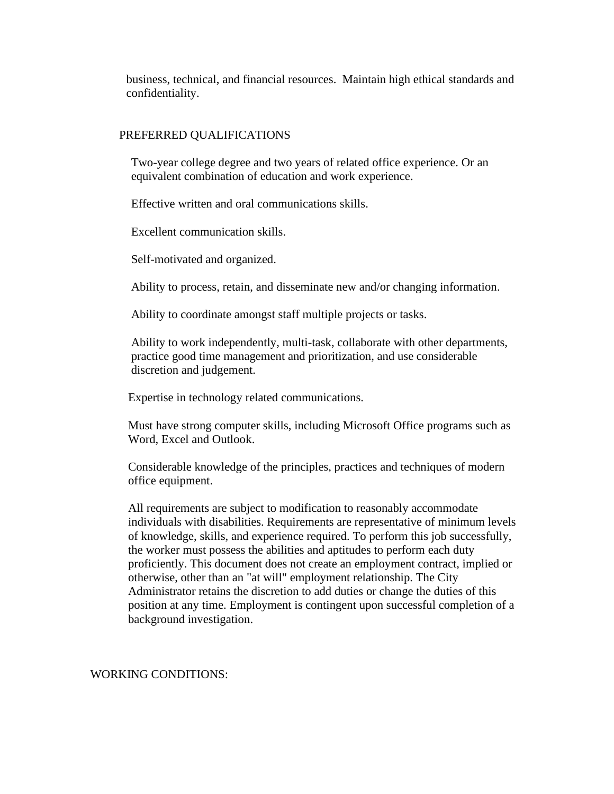business, technical, and financial resources. Maintain high ethical standards and confidentiality.

## PREFERRED QUALIFICATIONS

 Two-year college degree and two years of related office experience. Or an equivalent combination of education and work experience.

Effective written and oral communications skills.

Excellent communication skills.

Self-motivated and organized.

Ability to process, retain, and disseminate new and/or changing information.

Ability to coordinate amongst staff multiple projects or tasks.

 Ability to work independently, multi-task, collaborate with other departments, practice good time management and prioritization, and use considerable discretion and judgement.

Expertise in technology related communications.

Must have strong computer skills, including Microsoft Office programs such as Word, Excel and Outlook.

Considerable knowledge of the principles, practices and techniques of modern office equipment.

All requirements are subject to modification to reasonably accommodate individuals with disabilities. Requirements are representative of minimum levels of knowledge, skills, and experience required. To perform this job successfully, the worker must possess the abilities and aptitudes to perform each duty proficiently. This document does not create an employment contract, implied or otherwise, other than an "at will" employment relationship. The City Administrator retains the discretion to add duties or change the duties of this position at any time. Employment is contingent upon successful completion of a background investigation.

WORKING CONDITIONS: